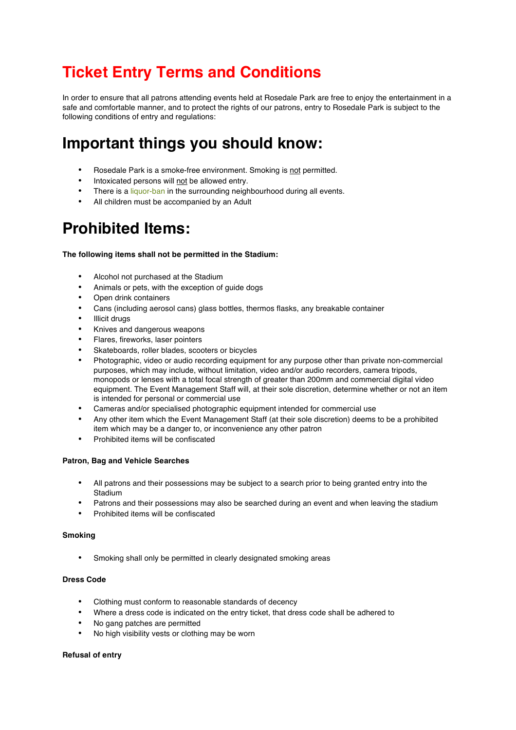# **Ticket Entry Terms and Conditions**

In order to ensure that all patrons attending events held at Rosedale Park are free to enjoy the entertainment in a safe and comfortable manner, and to protect the rights of our patrons, entry to Rosedale Park is subject to the following conditions of entry and regulations:

## **Important things you should know:**

- Rosedale Park is a smoke-free environment. Smoking is not permitted.
- Intoxicated persons will not be allowed entry.
- There is a liquor-ban in the surrounding neighbourhood during all events.
- All children must be accompanied by an Adult

## **Prohibited Items:**

### **The following items shall not be permitted in the Stadium:**

- Alcohol not purchased at the Stadium
- Animals or pets, with the exception of guide dogs
- Open drink containers
- Cans (including aerosol cans) glass bottles, thermos flasks, any breakable container
- **Illicit drugs**
- Knives and dangerous weapons
- Flares, fireworks, laser pointers
- Skateboards, roller blades, scooters or bicycles
- Photographic, video or audio recording equipment for any purpose other than private non-commercial purposes, which may include, without limitation, video and/or audio recorders, camera tripods, monopods or lenses with a total focal strength of greater than 200mm and commercial digital video equipment. The Event Management Staff will, at their sole discretion, determine whether or not an item is intended for personal or commercial use
- Cameras and/or specialised photographic equipment intended for commercial use
- Any other item which the Event Management Staff (at their sole discretion) deems to be a prohibited item which may be a danger to, or inconvenience any other patron
- Prohibited items will be confiscated

## **Patron, Bag and Vehicle Searches**

- All patrons and their possessions may be subject to a search prior to being granted entry into the Stadium
- Patrons and their possessions may also be searched during an event and when leaving the stadium
- Prohibited items will be confiscated

## **Smoking**

Smoking shall only be permitted in clearly designated smoking areas

#### **Dress Code**

- Clothing must conform to reasonable standards of decency
- Where a dress code is indicated on the entry ticket, that dress code shall be adhered to
- No gang patches are permitted
- No high visibility vests or clothing may be worn

#### **Refusal of entry**